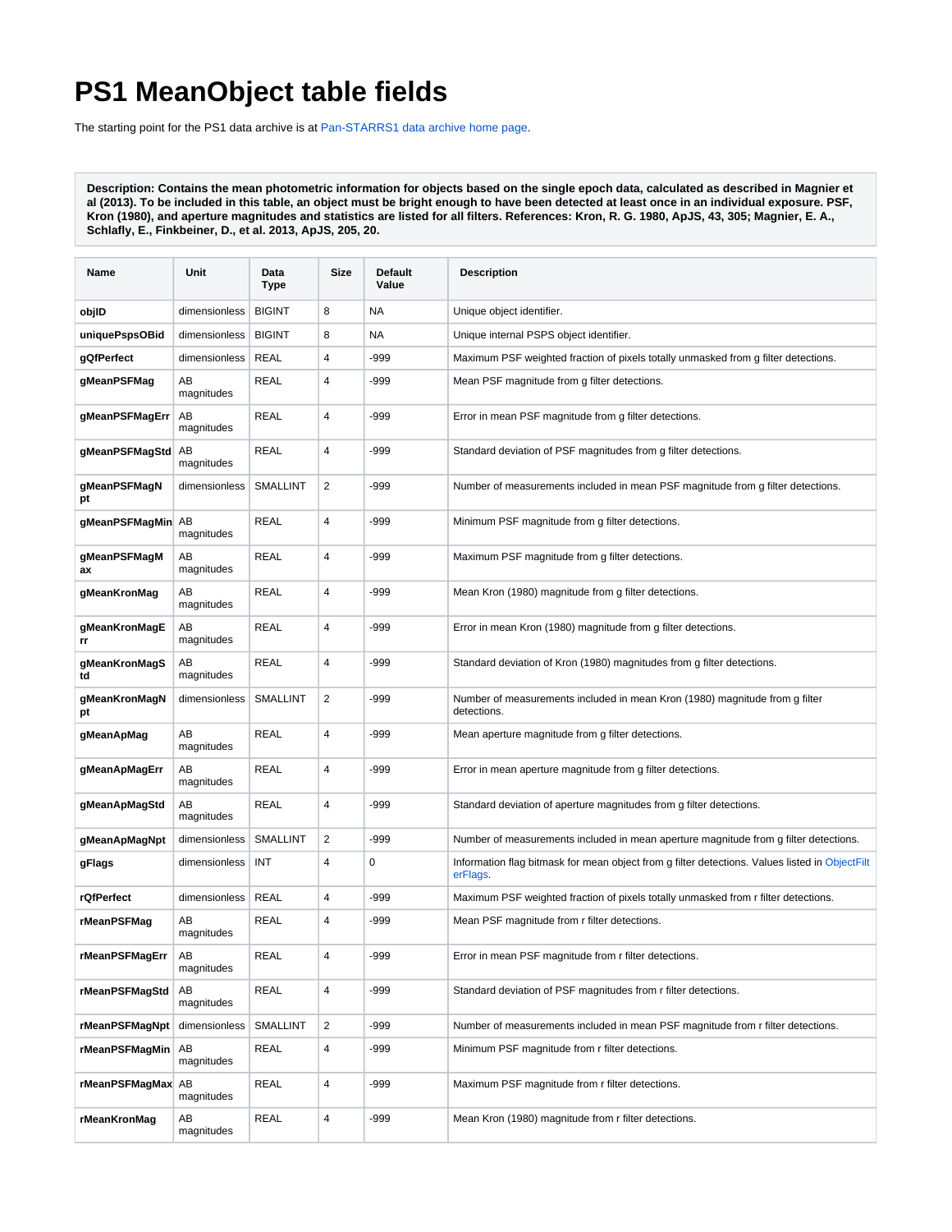## **PS1 MeanObject table fields**

The starting point for the PS1 data archive is at [Pan-STARRS1 data archive home page](https://outerspace.stsci.edu/display/PANSTARRS/Pan-STARRS1+data+archive+home+page).

**Description: Contains the mean photometric information for objects based on the single epoch data, calculated as described in Magnier et al (2013). To be included in this table, an object must be bright enough to have been detected at least once in an individual exposure. PSF, Kron (1980), and aperture magnitudes and statistics are listed for all filters. References: Kron, R. G. 1980, ApJS, 43, 305; Magnier, E. A., Schlafly, E., Finkbeiner, D., et al. 2013, ApJS, 205, 20.**

| Name                  | Unit             | Data<br><b>Type</b> | Size           | Default<br>Value | <b>Description</b>                                                                                         |
|-----------------------|------------------|---------------------|----------------|------------------|------------------------------------------------------------------------------------------------------------|
| objID                 | dimensionless    | <b>BIGINT</b>       | 8              | NA               | Unique object identifier.                                                                                  |
| uniquePspsOBid        | dimensionless    | <b>BIGINT</b>       | 8              | <b>NA</b>        | Unique internal PSPS object identifier.                                                                    |
| gQfPerfect            | dimensionless    | <b>REAL</b>         | 4              | $-999$           | Maximum PSF weighted fraction of pixels totally unmasked from g filter detections.                         |
| gMeanPSFMag           | AB<br>magnitudes | <b>REAL</b>         | 4              | $-999$           | Mean PSF magnitude from g filter detections.                                                               |
| gMeanPSFMagErr        | AB<br>magnitudes | <b>REAL</b>         | 4              | $-999$           | Error in mean PSF magnitude from g filter detections.                                                      |
| gMeanPSFMagStd AB     | magnitudes       | <b>REAL</b>         | 4              | $-999$           | Standard deviation of PSF magnitudes from g filter detections.                                             |
| gMeanPSFMagN<br>pt    | dimensionless    | <b>SMALLINT</b>     | $\overline{2}$ | $-999$           | Number of measurements included in mean PSF magnitude from g filter detections.                            |
| gMeanPSFMagMin AB     | magnitudes       | <b>REAL</b>         | 4              | $-999$           | Minimum PSF magnitude from g filter detections.                                                            |
| gMeanPSFMagM<br>ax    | AВ<br>magnitudes | <b>REAL</b>         | 4              | $-999$           | Maximum PSF magnitude from g filter detections.                                                            |
| gMeanKronMag          | AB<br>magnitudes | <b>REAL</b>         | 4              | -999             | Mean Kron (1980) magnitude from g filter detections.                                                       |
| gMeanKronMagE<br>rr   | AВ<br>magnitudes | <b>REAL</b>         | 4              | -999             | Error in mean Kron (1980) magnitude from g filter detections.                                              |
| gMeanKronMagS<br>td   | AВ<br>magnitudes | <b>REAL</b>         | 4              | -999             | Standard deviation of Kron (1980) magnitudes from g filter detections.                                     |
| gMeanKronMagN<br>pt   | dimensionless    | SMALLINT            | 2              | $-999$           | Number of measurements included in mean Kron (1980) magnitude from g filter<br>detections.                 |
| gMeanApMag            | AВ<br>magnitudes | <b>REAL</b>         | 4              | -999             | Mean aperture magnitude from g filter detections.                                                          |
| gMeanApMagErr         | AВ<br>magnitudes | REAL                | 4              | -999             | Error in mean aperture magnitude from g filter detections.                                                 |
| gMeanApMagStd         | AB<br>magnitudes | <b>REAL</b>         | 4              | -999             | Standard deviation of aperture magnitudes from g filter detections.                                        |
| gMeanApMagNpt         | dimensionless    | <b>SMALLINT</b>     | $\overline{2}$ | -999             | Number of measurements included in mean aperture magnitude from g filter detections.                       |
| gFlags                | dimensionless    | INT                 | 4              | 0                | Information flag bitmask for mean object from g filter detections. Values listed in ObjectFilt<br>erFlags. |
| rQfPerfect            | dimensionless    | <b>REAL</b>         | 4              | $-999$           | Maximum PSF weighted fraction of pixels totally unmasked from r filter detections.                         |
| rMeanPSFMag           | AВ<br>magnitudes | <b>REAL</b>         | 4              | $-999$           | Mean PSF magnitude from r filter detections.                                                               |
| rMeanPSFMagErr        | AВ<br>magnitudes | <b>REAL</b>         | 4              | -999             | Error in mean PSF magnitude from r filter detections.                                                      |
| rMeanPSFMagStd        | AB<br>magnitudes | <b>REAL</b>         | 4              | $-999$           | Standard deviation of PSF magnitudes from r filter detections.                                             |
| rMeanPSFMagNpt        | dimensionless    | SMALLINT            | $\overline{c}$ | $-999$           | Number of measurements included in mean PSF magnitude from r filter detections.                            |
| <b>rMeanPSFMagMin</b> | AB<br>magnitudes | REAL                | 4              | -999             | Minimum PSF magnitude from r filter detections.                                                            |
| rMeanPSFMagMax AB     | magnitudes       | <b>REAL</b>         | 4              | $-999$           | Maximum PSF magnitude from r filter detections.                                                            |
| rMeanKronMag          | AВ<br>magnitudes | <b>REAL</b>         | 4              | $-999$           | Mean Kron (1980) magnitude from r filter detections.                                                       |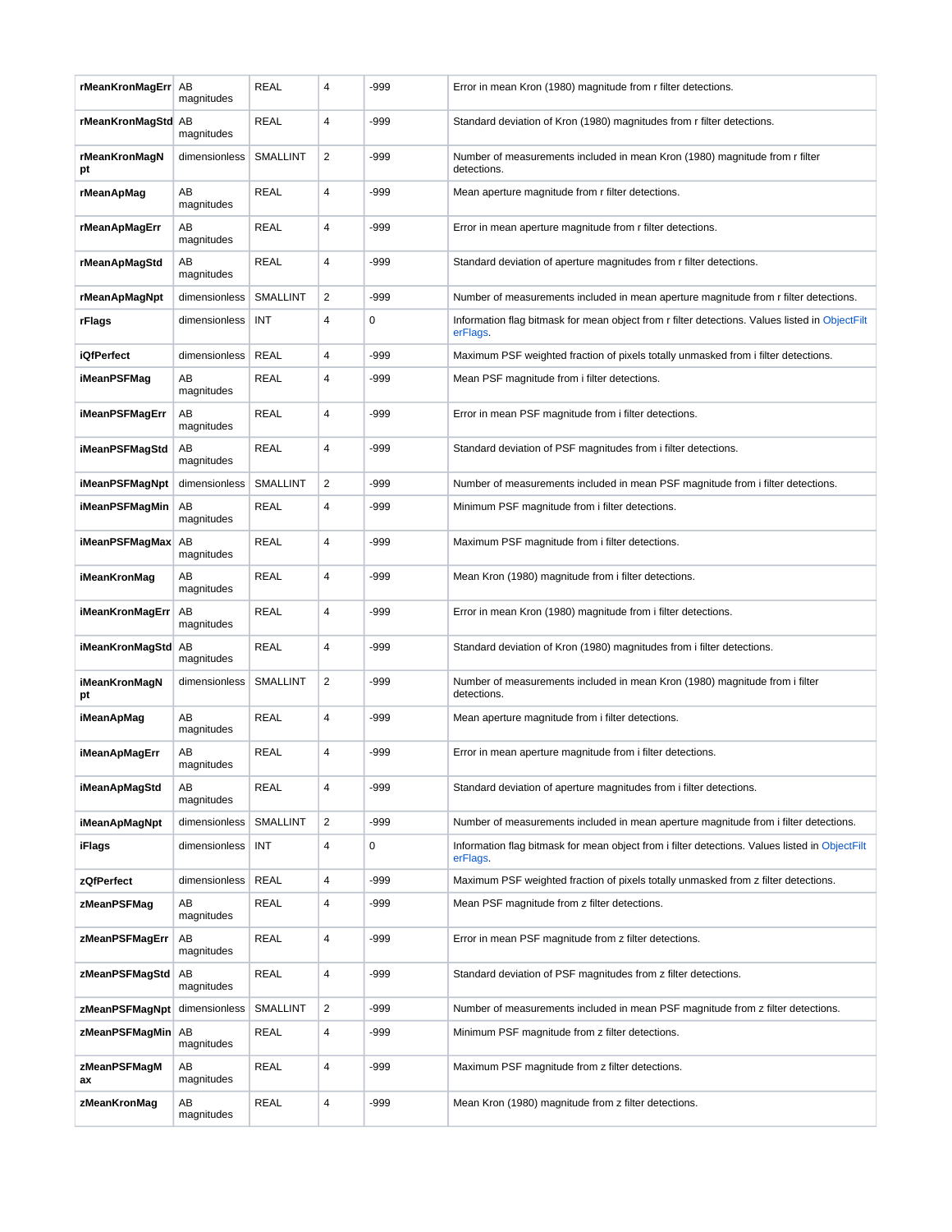| rMeanKronMagErr AB           | magnitudes       | <b>REAL</b>     | 4              | -999        | Error in mean Kron (1980) magnitude from r filter detections.                                              |
|------------------------------|------------------|-----------------|----------------|-------------|------------------------------------------------------------------------------------------------------------|
| rMeanKronMagStd AB           | magnitudes       | <b>REAL</b>     | 4              | -999        | Standard deviation of Kron (1980) magnitudes from r filter detections.                                     |
| rMeanKronMagN<br>pt          | dimensionless    | <b>SMALLINT</b> | $\overline{2}$ | -999        | Number of measurements included in mean Kron (1980) magnitude from r filter<br>detections.                 |
| rMeanApMag                   | AВ<br>magnitudes | <b>REAL</b>     | 4              | -999        | Mean aperture magnitude from r filter detections.                                                          |
| rMeanApMagErr                | AВ<br>magnitudes | <b>REAL</b>     | 4              | -999        | Error in mean aperture magnitude from r filter detections.                                                 |
| rMeanApMagStd                | AВ<br>magnitudes | <b>REAL</b>     | 4              | -999        | Standard deviation of aperture magnitudes from r filter detections.                                        |
| rMeanApMagNpt                | dimensionless    | <b>SMALLINT</b> | $\overline{2}$ | -999        | Number of measurements included in mean aperture magnitude from r filter detections.                       |
| rFlags                       | dimensionless    | INT             | 4              | $\mathbf 0$ | Information flag bitmask for mean object from r filter detections. Values listed in ObjectFilt<br>erFlags. |
| <b>iQfPerfect</b>            | dimensionless    | REAL            | 4              | -999        | Maximum PSF weighted fraction of pixels totally unmasked from i filter detections.                         |
| iMeanPSFMag                  | AB<br>magnitudes | <b>REAL</b>     | 4              | -999        | Mean PSF magnitude from i filter detections.                                                               |
| iMeanPSFMagErr               | AB<br>magnitudes | <b>REAL</b>     | 4              | -999        | Error in mean PSF magnitude from i filter detections.                                                      |
| <b>iMeanPSFMagStd</b>        | AB<br>magnitudes | <b>REAL</b>     | 4              | -999        | Standard deviation of PSF magnitudes from i filter detections.                                             |
| iMeanPSFMagNpt               | dimensionless    | <b>SMALLINT</b> | $\overline{2}$ | -999        | Number of measurements included in mean PSF magnitude from i filter detections.                            |
| iMeanPSFMagMin               | AB<br>magnitudes | REAL            | 4              | -999        | Minimum PSF magnitude from i filter detections.                                                            |
| iMeanPSFMagMax               | AB<br>magnitudes | <b>REAL</b>     | 4              | -999        | Maximum PSF magnitude from i filter detections.                                                            |
| iMeanKronMag                 | AВ<br>magnitudes | <b>REAL</b>     | 4              | -999        | Mean Kron (1980) magnitude from i filter detections.                                                       |
| iMeanKronMagErr              | AB<br>magnitudes | <b>REAL</b>     | 4              | -999        | Error in mean Kron (1980) magnitude from i filter detections.                                              |
| iMeanKronMagStd AB           | magnitudes       | REAL            | 4              | -999        | Standard deviation of Kron (1980) magnitudes from i filter detections.                                     |
| iMeanKronMagN<br>pt          | dimensionless    | <b>SMALLINT</b> | $\overline{2}$ | -999        | Number of measurements included in mean Kron (1980) magnitude from i filter<br>detections.                 |
| iMeanApMag                   | AB<br>magnitudes | <b>REAL</b>     | 4              | -999        | Mean aperture magnitude from i filter detections.                                                          |
| iMeanApMagErr                | AВ<br>magnitudes | <b>REAL</b>     | 4              | -999        | Error in mean aperture magnitude from i filter detections.                                                 |
| <b>iMeanApMagStd</b>         | AВ<br>magnitudes | <b>REAL</b>     | 4              | -999        | Standard deviation of aperture magnitudes from i filter detections.                                        |
| iMeanApMagNpt                | dimensionless    | <b>SMALLINT</b> | $\overline{2}$ | -999        | Number of measurements included in mean aperture magnitude from i filter detections.                       |
| iFlags                       | dimensionless    | INT             | 4              | 0           | Information flag bitmask for mean object from i filter detections. Values listed in ObjectFilt<br>erFlags. |
| zQfPerfect                   | dimensionless    | REAL            | 4              | -999        | Maximum PSF weighted fraction of pixels totally unmasked from z filter detections.                         |
| zMeanPSFMag                  | AВ<br>magnitudes | <b>REAL</b>     | 4              | -999        | Mean PSF magnitude from z filter detections.                                                               |
| zMeanPSFMagErr               | AB<br>magnitudes | <b>REAL</b>     | 4              | -999        | Error in mean PSF magnitude from z filter detections.                                                      |
| zMeanPSFMagStd               | AB<br>magnitudes | REAL            | 4              | -999        | Standard deviation of PSF magnitudes from z filter detections.                                             |
| zMeanPSFMagNpt dimensionless |                  | <b>SMALLINT</b> | $\overline{2}$ | -999        | Number of measurements included in mean PSF magnitude from z filter detections.                            |
| zMeanPSFMagMin               | AB<br>magnitudes | <b>REAL</b>     | 4              | -999        | Minimum PSF magnitude from z filter detections.                                                            |
| zMeanPSFMagM<br>ax           | AВ<br>magnitudes | REAL            | 4              | -999        | Maximum PSF magnitude from z filter detections.                                                            |
| zMeanKronMag                 | AВ<br>magnitudes | <b>REAL</b>     | 4              | -999        | Mean Kron (1980) magnitude from z filter detections.                                                       |